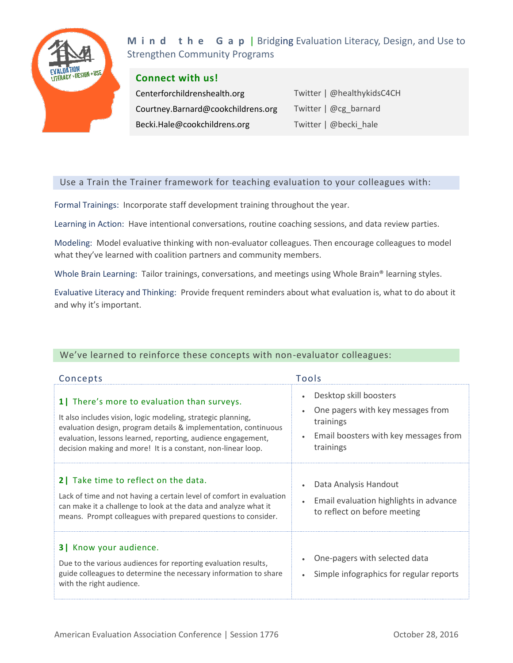

**M** i **n** d **t h** e **G** a **p** | Bridging Evaluation Literacy, Design, and Use to Strengthen Community Programs

#### **Connect with us!**

Centerforchildrenshealth.org Courtney.Barnard@cookchildrens.org Becki.Hale@cookchildrens.org

Twitter | @healthykidsC4CH Twitter | @cg\_barnard Twitter | @becki\_hale

## Use a Train the Trainer framework for teaching evaluation to your colleagues with:

Formal Trainings: Incorporate staff development training throughout the year.

Learning in Action: Have intentional conversations, routine coaching sessions, and data review parties.

Modeling: Model evaluative thinking with non-evaluator colleagues. Then encourage colleagues to model what they've learned with coalition partners and community members.

Whole Brain Learning: Tailor trainings, conversations, and meetings using Whole Brain® learning styles.

Evaluative Literacy and Thinking: Provide frequent reminders about what evaluation is, what to do about it and why it's important.

# We've learned to reinforce these concepts with non-evaluator colleagues:

| Concepts                                                                                                                                                                                                                                                                                                      | Tools                                                                                                                                       |
|---------------------------------------------------------------------------------------------------------------------------------------------------------------------------------------------------------------------------------------------------------------------------------------------------------------|---------------------------------------------------------------------------------------------------------------------------------------------|
| 1 There's more to evaluation than surveys.<br>It also includes vision, logic modeling, strategic planning,<br>evaluation design, program details & implementation, continuous<br>evaluation, lessons learned, reporting, audience engagement,<br>decision making and more! It is a constant, non-linear loop. | Desktop skill boosters<br>$\bullet$<br>One pagers with key messages from<br>trainings<br>Email boosters with key messages from<br>trainings |
| 2 Take time to reflect on the data.<br>Lack of time and not having a certain level of comfort in evaluation<br>can make it a challenge to look at the data and analyze what it<br>means. Prompt colleagues with prepared questions to consider.                                                               | Data Analysis Handout<br>Email evaluation highlights in advance<br>to reflect on before meeting                                             |
| <b>3</b>   Know your audience.<br>Due to the various audiences for reporting evaluation results,<br>guide colleagues to determine the necessary information to share<br>with the right audience.                                                                                                              | One-pagers with selected data<br>Simple infographics for regular reports                                                                    |